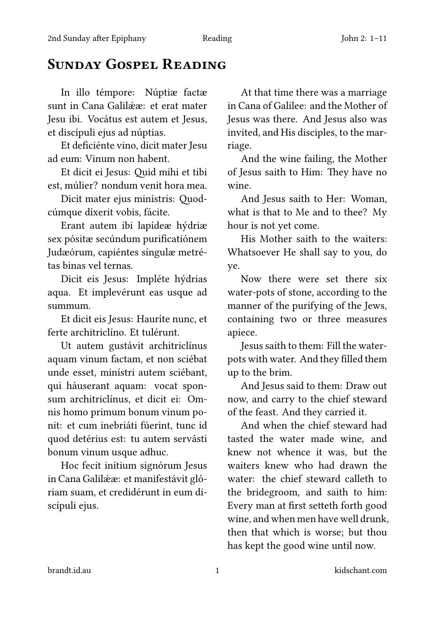## Sunday Gospel Reading

sunt in Cana Galilææ: et erat mater in Cana of Galilee: and the Mother of Jesu ibi. Vocátus est autem et Jesus, Jesus was there. And Jesus also was et discípuli ejus ad núptias. invited, and His disciples, to the mar-

Et deficiénte vino, dicit mater Jesu riage. ad eum: Vinum non habent. And the wine failing, the Mother

est, múlier? nondum venit hora mea. wine.

Erant autem ibi lapídeæ hýdriæ hour is not yet come. sex pósitæ secúndum purificatiónem His Mother saith to the waiters: Judæórum, capiéntes síngulæ metré- Whatsoever He shall say to you, do tas binas vel ternas. ye.

aqua. Et implevérunt eas usque ad water-pots of stone, according to the summum. **manner** of the purifying of the Jews,

ferte architriclíno. Et tulérunt. apiece.

aquam vinum factam, et non sciébat pots with water. And they filled them unde esset, minístri autem sciébant, up to the brim. qui háuserant aquam: vocat spon- And Jesus said to them: Draw out sum architriclínus, et dicit ei: Om- now, and carry to the chief steward nis homo primum bonum vinum po- of the feast. And they carried it. nit: et cum inebriáti fúerint, tunc id And when the chief steward had quod detérius est: tu autem servásti tasted the water made wine, and bonum vinum usque adhuc. <br>knew not whence it was, but the

in Cana Galilææ: et manifestávit gló-<br>water: the chief steward calleth to riam suam, et credidérunt in eum di- the bridegroom, and saith to him: scípuli ejus. Every man at first setteth forth good

In illo témpore: Núptiæ factæ At that time there was a marriage

Et dicit ei Jesus: Quid mihi et tibi of Jesus saith to Him: They have no

Dicit mater ejus minístris: Quod-<br>And Jesus saith to Her: Woman, cúmque díxerit vobis, fácite. what is that to Me and to thee? My

Dicit eis Jesus: Impléte hýdrias Now there were set there six Et dicit eis Jesus: Hauríte nunc, et containing two or three measures

Ut autem gustávit architriclínus Jesus saith to them: Fill the water-

Hoc fecit inítium signórum Jesus waiters knew who had drawn the wine, and when men have well drunk, then that which is worse; but thou has kept the good wine until now.